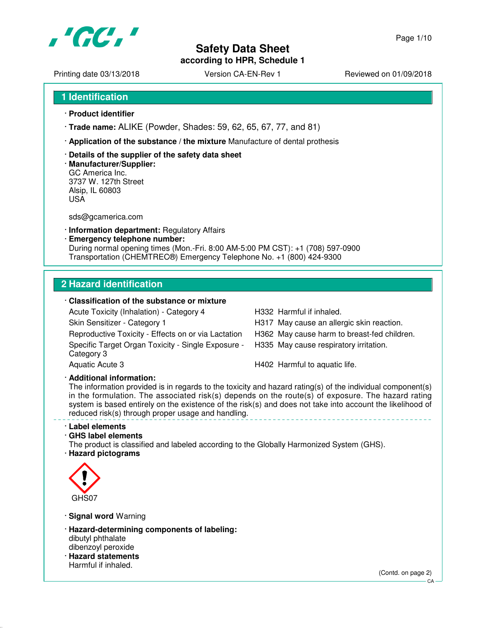

Printing date 03/13/2018 <br>
Version CA-EN-Rev 1 Reviewed on 01/09/2018

Page 1/10

**1 Identification**

- · **Product identifier**
- · **Trade name:** ALIKE (Powder, Shades: 59, 62, 65, 67, 77, and 81)
- · **Application of the substance / the mixture** Manufacture of dental prothesis
- · **Details of the supplier of the safety data sheet**
- · **Manufacturer/Supplier:** GC America Inc. 3737 W. 127th Street Alsip, IL 60803 USA

sds@gcamerica.com

- · **Information department:** Regulatory Affairs
- · **Emergency telephone number:** During normal opening times (Mon.-Fri. 8:00 AM-5:00 PM CST): +1 (708) 597-0900 Transportation (CHEMTREC®) Emergency Telephone No. +1 (800) 424-9300

# **2 Hazard identification**

# · **Classification of the substance or mixture**

Acute Toxicity (Inhalation) - Category 4 H332 Harmful if inhaled. Skin Sensitizer - Category 1 **H317** May cause an allergic skin reaction. Reproductive Toxicity - Effects on or via Lactation H362 May cause harm to breast-fed children. Specific Target Organ Toxicity - Single Exposure - Category 3

H335 May cause respiratory irritation.

Aquatic Acute 3 **H402** Harmful to aquatic life.

· **Additional information:**

The information provided is in regards to the toxicity and hazard rating(s) of the individual component(s) in the formulation. The associated risk(s) depends on the route(s) of exposure. The hazard rating system is based entirely on the existence of the risk(s) and does not take into account the likelihood of reduced risk(s) through proper usage and handling.

#### · **Label elements**

# · **GHS label elements**

The product is classified and labeled according to the Globally Harmonized System (GHS). · **Hazard pictograms**



· **Signal word** Warning

- · **Hazard-determining components of labeling:** dibutyl phthalate dibenzoyl peroxide
- · **Hazard statements** Harmful if inhaled.

(Contd. on page 2)

 $CA$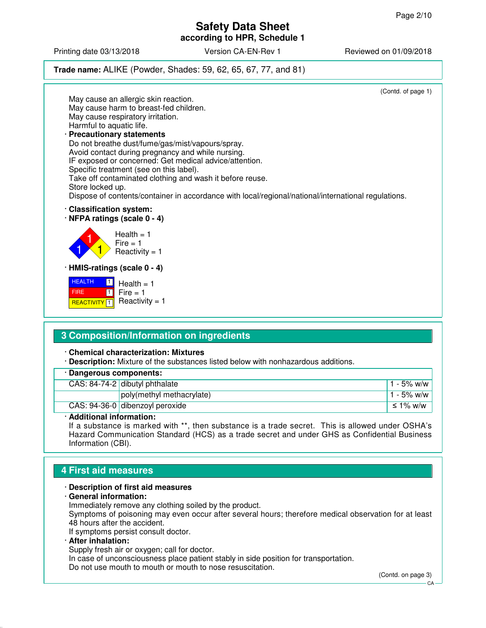Printing date 03/13/2018 Version CA-EN-Rev 1 Reviewed on 01/09/2018

# **Trade name:** ALIKE (Powder, Shades: 59, 62, 65, 67, 77, and 81)



#### · **Chemical characterization: Mixtures**

· **Description:** Mixture of the substances listed below with nonhazardous additions.

| · Dangerous components: |                                 |               |
|-------------------------|---------------------------------|---------------|
|                         | CAS: 84-74-2 dibutyl phthalate  | $1 - 5\%$ w/w |
|                         | poly(methyl methacrylate)       | $1 - 5\%$ w/w |
|                         | CAS: 94-36-0 dibenzoyl peroxide | ≤ 1% w/w      |

#### · **Additional information:**

If a substance is marked with \*\*, then substance is a trade secret. This is allowed under OSHA's Hazard Communication Standard (HCS) as a trade secret and under GHS as Confidential Business Information (CBI).

# **4 First aid measures**

#### · **Description of first aid measures**

· **General information:**

Immediately remove any clothing soiled by the product.

Symptoms of poisoning may even occur after several hours; therefore medical observation for at least 48 hours after the accident.

If symptoms persist consult doctor.

· **After inhalation:**

Supply fresh air or oxygen; call for doctor.

In case of unconsciousness place patient stably in side position for transportation.

Do not use mouth to mouth or mouth to nose resuscitation.

(Contd. on page 3)

 $C_A$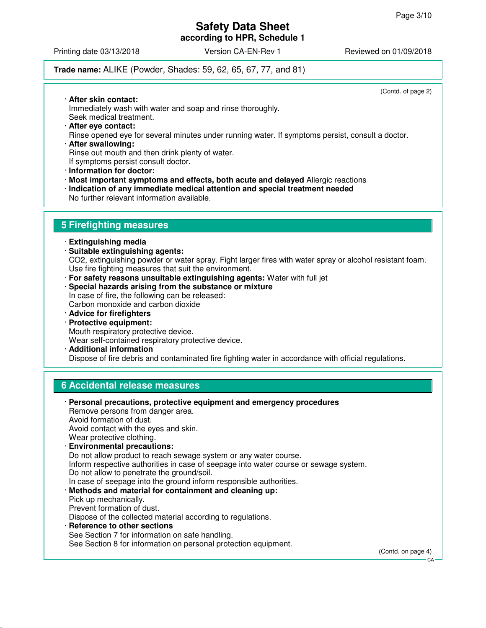Printing date 03/13/2018 **Version CA-EN-Rev 1** Reviewed on 01/09/2018

# **Trade name:** ALIKE (Powder, Shades: 59, 62, 65, 67, 77, and 81)

(Contd. of page 2)

- · **After skin contact:** Immediately wash with water and soap and rinse thoroughly. Seek medical treatment.
- · **After eye contact:** Rinse opened eye for several minutes under running water. If symptoms persist, consult a doctor. · **After swallowing:**
- Rinse out mouth and then drink plenty of water. If symptoms persist consult doctor.
- · **Information for doctor:**
- · **Most important symptoms and effects, both acute and delayed** Allergic reactions
- · **Indication of any immediate medical attention and special treatment needed**
- No further relevant information available.

# **5 Firefighting measures**

- · **Extinguishing media**
- · **Suitable extinguishing agents:** CO2, extinguishing powder or water spray. Fight larger fires with water spray or alcohol resistant foam. Use fire fighting measures that suit the environment.
- · **For safety reasons unsuitable extinguishing agents:** Water with full jet
- · **Special hazards arising from the substance or mixture** In case of fire, the following can be released: Carbon monoxide and carbon dioxide
- · **Advice for firefighters**
- · **Protective equipment:** Mouth respiratory protective device.
- Wear self-contained respiratory protective device.
- · **Additional information** Dispose of fire debris and contaminated fire fighting water in accordance with official regulations.

# **6 Accidental release measures**

| · Personal precautions, protective equipment and emergency procedures<br>Remove persons from danger area.<br>Avoid formation of dust.<br>Avoid contact with the eyes and skin.<br>Wear protective clothing.                                                                  |                           |
|------------------------------------------------------------------------------------------------------------------------------------------------------------------------------------------------------------------------------------------------------------------------------|---------------------------|
| · Environmental precautions:                                                                                                                                                                                                                                                 |                           |
| Do not allow product to reach sewage system or any water course.<br>Inform respective authorities in case of seepage into water course or sewage system.<br>Do not allow to penetrate the ground/soil.<br>In case of seepage into the ground inform responsible authorities. |                           |
| · Methods and material for containment and cleaning up:<br>Pick up mechanically.<br>Prevent formation of dust.<br>Dispose of the collected material according to regulations.<br>· Reference to other sections<br>See Section 7 for information on safe handling.            |                           |
| See Section 8 for information on personal protection equipment.                                                                                                                                                                                                              | (Contd. on page 4)<br>CA- |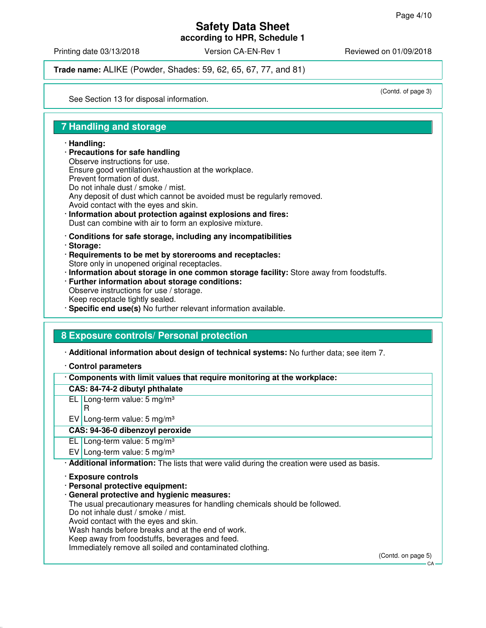**according to HPR, Schedule 1**

Printing date 03/13/2018 Version CA-EN-Rev 1 Reviewed on 01/09/2018

**Trade name:** ALIKE (Powder, Shades: 59, 62, 65, 67, 77, and 81)

(Contd. of page 3)

See Section 13 for disposal information.

# **7 Handling and storage**

#### · **Handling:**

· **Precautions for safe handling** Observe instructions for use. Ensure good ventilation/exhaustion at the workplace. Prevent formation of dust. Do not inhale dust / smoke / mist. Any deposit of dust which cannot be avoided must be regularly removed. Avoid contact with the eyes and skin. · **Information about protection against explosions and fires:**

Dust can combine with air to form an explosive mixture.

- · **Conditions for safe storage, including any incompatibilities**
- · **Storage:**
- · **Requirements to be met by storerooms and receptacles:** Store only in unopened original receptacles.
- · **Information about storage in one common storage facility:** Store away from foodstuffs.
- · **Further information about storage conditions:**
- Observe instructions for use / storage.
- Keep receptacle tightly sealed.
- · **Specific end use(s)** No further relevant information available.

# **8 Exposure controls/ Personal protection**

· **Additional information about design of technical systems:** No further data; see item 7.

· **Control parameters**

· **Components with limit values that require monitoring at the workplace:**

# **CAS: 84-74-2 dibutyl phthalate**

EL Long-term value: 5 mg/m³

- R
- EV Long-term value:  $5 \text{ mg/m}^3$

# **CAS: 94-36-0 dibenzoyl peroxide**

EL Long-term value: 5 mg/m<sup>3</sup>

EV Long-term value:  $5 \text{ mg/m}^3$ 

· **Additional information:** The lists that were valid during the creation were used as basis.

- · **Exposure controls**
- · **Personal protective equipment:**
- · **General protective and hygienic measures:**

The usual precautionary measures for handling chemicals should be followed.

Do not inhale dust / smoke / mist.

Avoid contact with the eyes and skin.

Wash hands before breaks and at the end of work.

Keep away from foodstuffs, beverages and feed.

Immediately remove all soiled and contaminated clothing.

(Contd. on page 5)

 $C.A$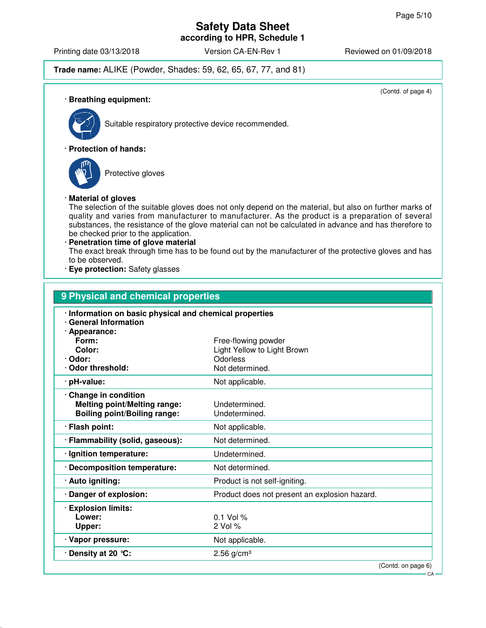Printing date 03/13/2018 **Version CA-EN-Rev 1** Reviewed on 01/09/2018

# **Trade name:** ALIKE (Powder, Shades: 59, 62, 65, 67, 77, and 81)

(Contd. of page 4)

· **Breathing equipment:**



Suitable respiratory protective device recommended.

#### · **Protection of hands:**



Protective gloves

#### · **Material of gloves**

The selection of the suitable gloves does not only depend on the material, but also on further marks of quality and varies from manufacturer to manufacturer. As the product is a preparation of several substances, the resistance of the glove material can not be calculated in advance and has therefore to be checked prior to the application.

· **Penetration time of glove material** The exact break through time has to be found out by the manufacturer of the protective gloves and has to be observed.

· **Eye protection:** Safety glasses

| 9 Physical and chemical properties                                                                              |                                               |  |  |
|-----------------------------------------------------------------------------------------------------------------|-----------------------------------------------|--|--|
| · Information on basic physical and chemical properties<br><b>General Information</b><br>· Appearance:<br>Form: | Free-flowing powder                           |  |  |
| Color:                                                                                                          | Light Yellow to Light Brown                   |  |  |
| · Odor:<br><b>Odor threshold:</b>                                                                               | Odorless<br>Not determined.                   |  |  |
| · pH-value:                                                                                                     | Not applicable.                               |  |  |
| Change in condition<br><b>Melting point/Melting range:</b><br><b>Boiling point/Boiling range:</b>               | Undetermined.<br>Undetermined.                |  |  |
| · Flash point:                                                                                                  | Not applicable.                               |  |  |
| · Flammability (solid, gaseous):                                                                                | Not determined.                               |  |  |
| · Ignition temperature:                                                                                         | Undetermined.                                 |  |  |
| <b>Decomposition temperature:</b>                                                                               | Not determined.                               |  |  |
| · Auto igniting:                                                                                                | Product is not self-igniting.                 |  |  |
| Danger of explosion:                                                                                            | Product does not present an explosion hazard. |  |  |
| <b>Explosion limits:</b><br>Lower:<br>Upper:                                                                    | $0.1$ Vol %<br>2 Vol %                        |  |  |
| · Vapor pressure:                                                                                               | Not applicable.                               |  |  |
| Density at 20 °C:                                                                                               | $2.56$ g/cm <sup>3</sup>                      |  |  |
|                                                                                                                 | (Contd. on page 6)<br>$CA -$                  |  |  |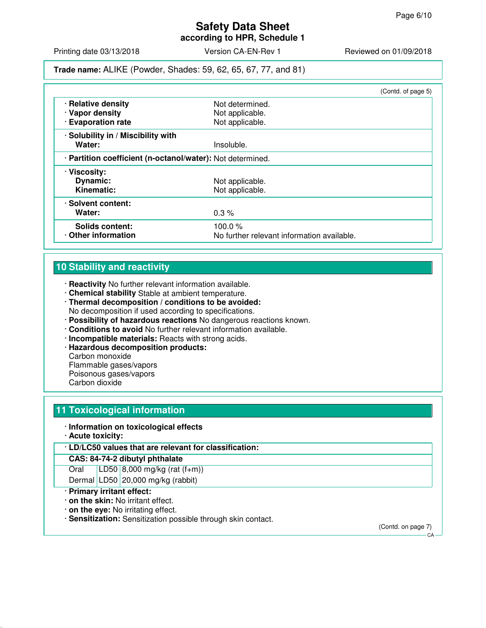**according to HPR, Schedule 1**

Printing date 03/13/2018 **Version CA-EN-Rev 1** Reviewed on 01/09/2018

**Trade name:** ALIKE (Powder, Shades: 59, 62, 65, 67, 77, and 81)

|                                                            |                                            | (Contd. of page 5) |
|------------------------------------------------------------|--------------------------------------------|--------------------|
| · Relative density                                         | Not determined.                            |                    |
| · Vapor density                                            | Not applicable.                            |                    |
| · Evaporation rate                                         | Not applicable.                            |                    |
| · Solubility in / Miscibility with                         |                                            |                    |
| Water:                                                     | Insoluble.                                 |                    |
| · Partition coefficient (n-octanol/water): Not determined. |                                            |                    |
| · Viscosity:                                               |                                            |                    |
| Dynamic:                                                   | Not applicable.                            |                    |
| Kinematic:                                                 | Not applicable.                            |                    |
| · Solvent content:                                         |                                            |                    |
| Water:                                                     | $0.3\%$                                    |                    |
| <b>Solids content:</b>                                     | 100.0 $%$                                  |                    |
| Other information                                          | No further relevant information available. |                    |

# **10 Stability and reactivity**

- · **Reactivity** No further relevant information available.
- · **Chemical stability** Stable at ambient temperature.
- · **Thermal decomposition / conditions to be avoided:** No decomposition if used according to specifications.
- · **Possibility of hazardous reactions** No dangerous reactions known.
- · **Conditions to avoid** No further relevant information available.
- · **Incompatible materials:** Reacts with strong acids.
- · **Hazardous decomposition products:**

Carbon monoxide

Flammable gases/vapors

- Poisonous gases/vapors
- Carbon dioxide

# **11 Toxicological information**

#### · **Information on toxicological effects**

- · **Acute toxicity:**
- · **LD/LC50 values that are relevant for classification:**

#### **CAS: 84-74-2 dibutyl phthalate**

Oral LD50 8,000 mg/kg (rat (f+m))

Dermal LD50 20,000 mg/kg (rabbit)

- · **Primary irritant effect:**
- · **on the skin:** No irritant effect.
- · **on the eye:** No irritating effect.
- · **Sensitization:** Sensitization possible through skin contact.

(Contd. on page 7)  $-CA$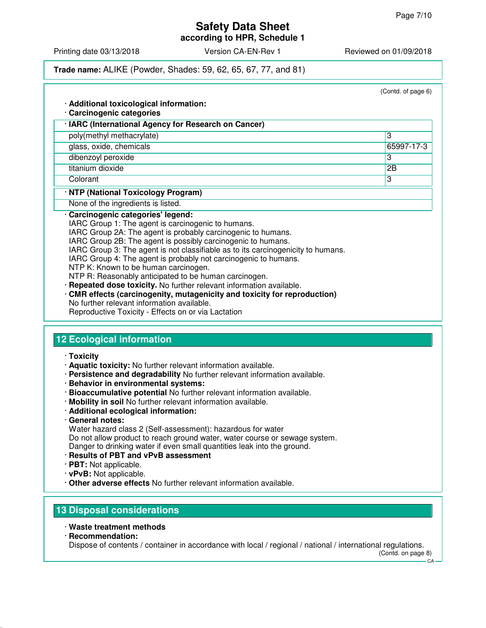**according to HPR, Schedule 1**

Printing date 03/13/2018 **Version CA-EN-Rev 1** Reviewed on 01/09/2018

### **Trade name:** ALIKE (Powder, Shades: 59, 62, 65, 67, 77, and 81)

|                                                                                                                                                                                                                                                                                                                                                                                                                                                                                                                                                                              | (Contd. of page 6) |
|------------------------------------------------------------------------------------------------------------------------------------------------------------------------------------------------------------------------------------------------------------------------------------------------------------------------------------------------------------------------------------------------------------------------------------------------------------------------------------------------------------------------------------------------------------------------------|--------------------|
| · Additional toxicological information:                                                                                                                                                                                                                                                                                                                                                                                                                                                                                                                                      |                    |
| · Carcinogenic categories                                                                                                                                                                                                                                                                                                                                                                                                                                                                                                                                                    |                    |
| · IARC (International Agency for Research on Cancer)                                                                                                                                                                                                                                                                                                                                                                                                                                                                                                                         |                    |
| poly(methyl methacrylate)                                                                                                                                                                                                                                                                                                                                                                                                                                                                                                                                                    | 3                  |
| glass, oxide, chemicals                                                                                                                                                                                                                                                                                                                                                                                                                                                                                                                                                      | 65997-17-3         |
| dibenzoyl peroxide                                                                                                                                                                                                                                                                                                                                                                                                                                                                                                                                                           | 3                  |
| titanium dioxide                                                                                                                                                                                                                                                                                                                                                                                                                                                                                                                                                             | 2B                 |
| Colorant                                                                                                                                                                                                                                                                                                                                                                                                                                                                                                                                                                     | $\overline{3}$     |
| · NTP (National Toxicology Program)                                                                                                                                                                                                                                                                                                                                                                                                                                                                                                                                          |                    |
| None of the ingredients is listed.                                                                                                                                                                                                                                                                                                                                                                                                                                                                                                                                           |                    |
| IARC Group 2B: The agent is possibly carcinogenic to humans.<br>IARC Group 3: The agent is not classifiable as to its carcinogenicity to humans.<br>IARC Group 4: The agent is probably not carcinogenic to humans.<br>NTP K: Known to be human carcinogen.<br>NTP R: Reasonably anticipated to be human carcinogen.<br>Repeated dose toxicity. No further relevant information available.<br>· CMR effects (carcinogenity, mutagenicity and toxicity for reproduction)<br>No further relevant information available.<br>Reproductive Toxicity - Effects on or via Lactation |                    |
| <b>12 Ecological information</b>                                                                                                                                                                                                                                                                                                                                                                                                                                                                                                                                             |                    |
| · Toxicity                                                                                                                                                                                                                                                                                                                                                                                                                                                                                                                                                                   |                    |
| · Aquatic toxicity: No further relevant information available.                                                                                                                                                                                                                                                                                                                                                                                                                                                                                                               |                    |
| · Persistence and degradability No further relevant information available.                                                                                                                                                                                                                                                                                                                                                                                                                                                                                                   |                    |

- · **Behavior in environmental systems:**
- · **Bioaccumulative potential** No further relevant information available.
- · **Mobility in soil** No further relevant information available.
- · **Additional ecological information:**
- · **General notes:**

Water hazard class 2 (Self-assessment): hazardous for water

Do not allow product to reach ground water, water course or sewage system. Danger to drinking water if even small quantities leak into the ground.

- 
- · **Results of PBT and vPvB assessment**
- · **PBT:** Not applicable.
- · **vPvB:** Not applicable.
- · **Other adverse effects** No further relevant information available.

# **13 Disposal considerations**

- · **Waste treatment methods**
- · **Recommendation:**

Dispose of contents / container in accordance with local / regional / national / international regulations.

(Contd. on page 8)

 $CA$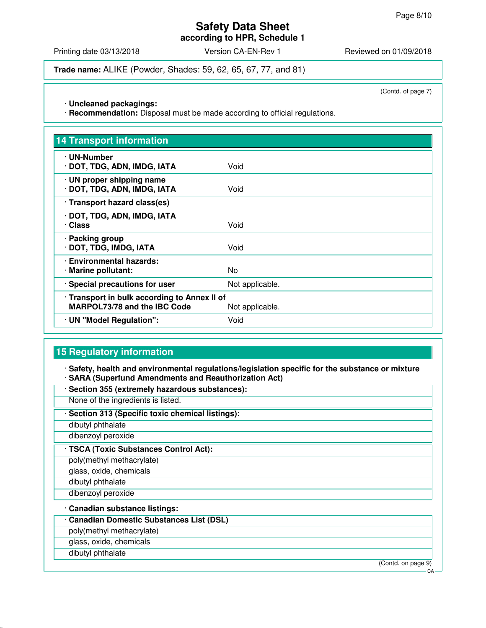**according to HPR, Schedule 1**

Printing date 03/13/2018 **Version CA-EN-Rev 1** Reviewed on 01/09/2018

**Trade name:** ALIKE (Powder, Shades: 59, 62, 65, 67, 77, and 81)

(Contd. of page 7)

· **Uncleaned packagings:**

· **Recommendation:** Disposal must be made according to official regulations.

| <b>14 Transport information</b>                                                     |                 |
|-------------------------------------------------------------------------------------|-----------------|
| · UN-Number<br>· DOT, TDG, ADN, IMDG, IATA                                          | Void            |
| · UN proper shipping name<br>· DOT, TDG, ADN, IMDG, IATA                            | Void            |
| · Transport hazard class(es)                                                        |                 |
| · DOT, TDG, ADN, IMDG, IATA<br>· Class                                              | Void            |
| · Packing group<br>· DOT, TDG, IMDG, IATA                                           | Void            |
| · Environmental hazards:<br>· Marine pollutant:                                     | No              |
| · Special precautions for user                                                      | Not applicable. |
| · Transport in bulk according to Annex II of<br><b>MARPOL73/78 and the IBC Code</b> | Not applicable. |
| · UN "Model Regulation":                                                            | Void            |

# **15 Regulatory information**

· **Safety, health and environmental regulations/legislation specific for the substance or mixture** · **SARA (Superfund Amendments and Reauthorization Act)**

- · **Section 355 (extremely hazardous substances):**
- None of the ingredients is listed.
- · **Section 313 (Specific toxic chemical listings):**
- dibutyl phthalate
- dibenzoyl peroxide
- · **TSCA (Toxic Substances Control Act):**
- poly(methyl methacrylate)
- glass, oxide, chemicals
- dibutyl phthalate
- dibenzoyl peroxide
- · **Canadian substance listings:**
- · **Canadian Domestic Substances List (DSL)**
- poly(methyl methacrylate)
- glass, oxide, chemicals
- dibutyl phthalate

(Contd. on page 9)

 $\cap$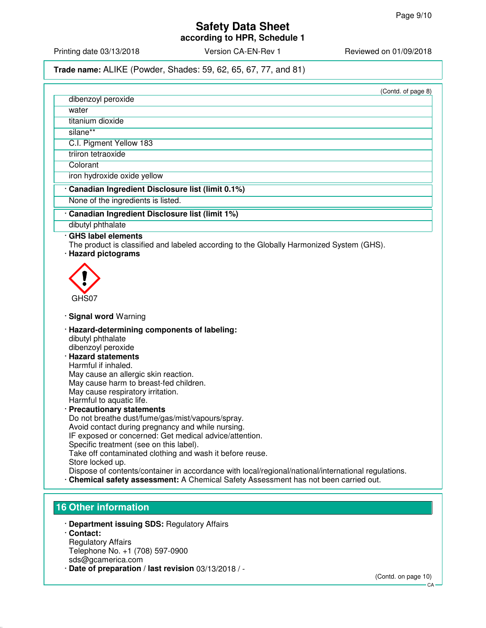Printing date 03/13/2018 **Version CA-EN-Rev 1** Reviewed on 01/09/2018

### **Trade name:** ALIKE (Powder, Shades: 59, 62, 65, 67, 77, and 81)

| (Contd. of page 8) |
|--------------------|
|                    |
|                    |
|                    |

titanium dioxide

dibenzoyl peroxide

silane\*\*

water

C.I. Pigment Yellow 183

triiron tetraoxide

**Colorant** 

iron hydroxide oxide yellow

#### · **Canadian Ingredient Disclosure list (limit 0.1%)**

None of the ingredients is listed.

#### · **Canadian Ingredient Disclosure list (limit 1%)**

dibutyl phthalate

#### · **GHS label elements**

The product is classified and labeled according to the Globally Harmonized System (GHS).

· **Hazard pictograms**



#### · **Signal word** Warning

- · **Hazard-determining components of labeling:** dibutyl phthalate dibenzoyl peroxide
- · **Hazard statements** Harmful if inhaled. May cause an allergic skin reaction. May cause harm to breast-fed children. May cause respiratory irritation. Harmful to aquatic life.
- · **Precautionary statements** Do not breathe dust/fume/gas/mist/vapours/spray. Avoid contact during pregnancy and while nursing. IF exposed or concerned: Get medical advice/attention. Specific treatment (see on this label). Take off contaminated clothing and wash it before reuse. Store locked up. Dispose of contents/container in accordance with local/regional/national/international regulations.
- · **Chemical safety assessment:** A Chemical Safety Assessment has not been carried out.

# **16 Other information**

- · **Department issuing SDS:** Regulatory Affairs
- · **Contact:** Regulatory Affairs Telephone No. +1 (708) 597-0900 sds@gcamerica.com
- · **Date of preparation / last revision** 03/13/2018 / -

CA